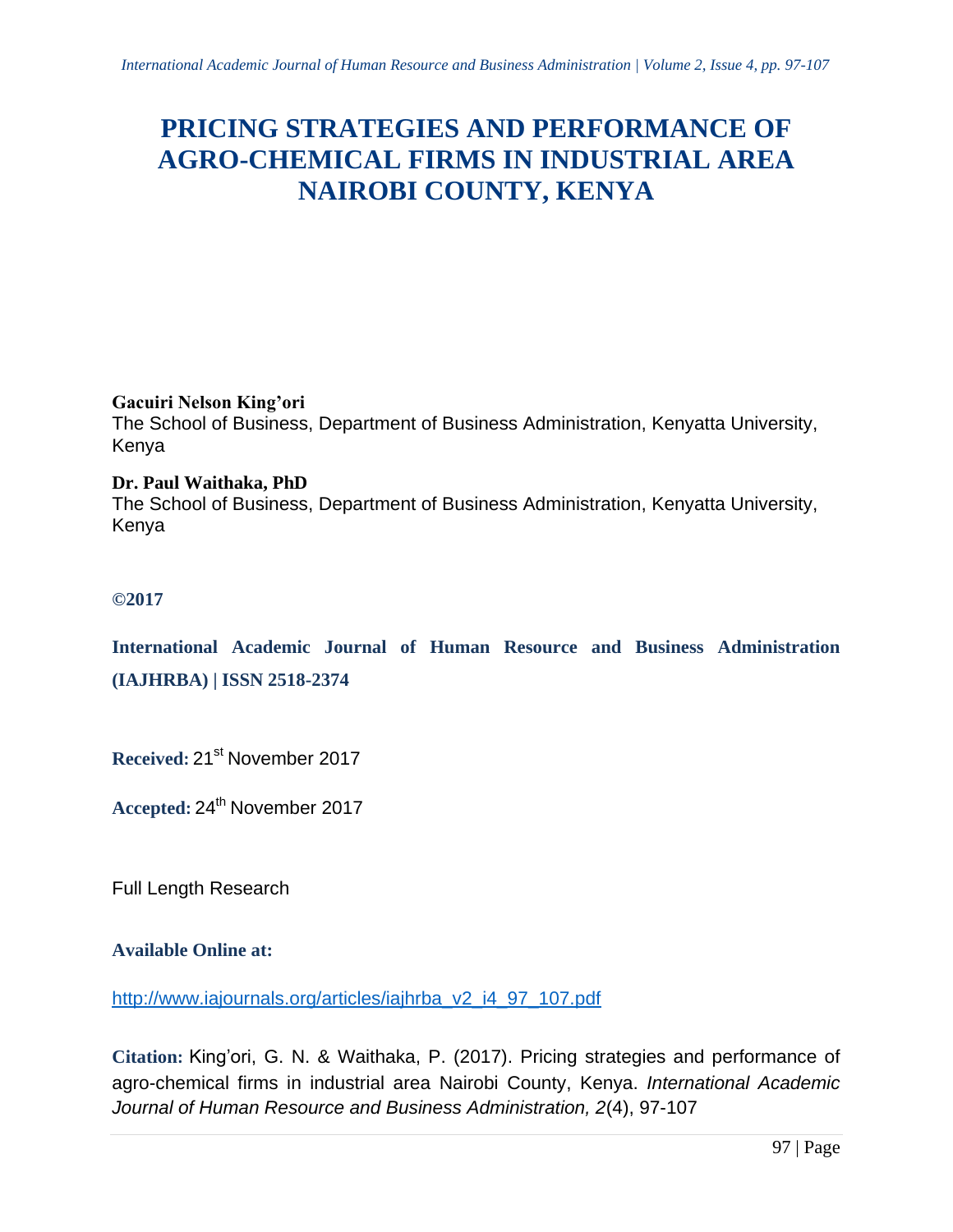# **PRICING STRATEGIES AND PERFORMANCE OF AGRO-CHEMICAL FIRMS IN INDUSTRIAL AREA NAIROBI COUNTY, KENYA**

**Gacuiri Nelson King'ori** 

The School of Business, Department of Business Administration, Kenyatta University, Kenya

**Dr. Paul Waithaka, PhD** The School of Business, Department of Business Administration, Kenyatta University, Kenya

# **©2017**

**International Academic Journal of Human Resource and Business Administration (IAJHRBA) | ISSN 2518-2374**

**Received:** 21 st November 2017

Accepted: 24<sup>th</sup> November 2017

Full Length Research

# **Available Online at:**

[http://www.iajournals.org/articles/iajhrba\\_v2\\_i4\\_97\\_107.pdf](http://www.iajournals.org/articles/iajhrba_v2_i4_97_107.pdf)

**Citation:** King'ori, G. N. & Waithaka, P. (2017). Pricing strategies and performance of agro-chemical firms in industrial area Nairobi County, Kenya. *International Academic Journal of Human Resource and Business Administration, 2*(4), 97-107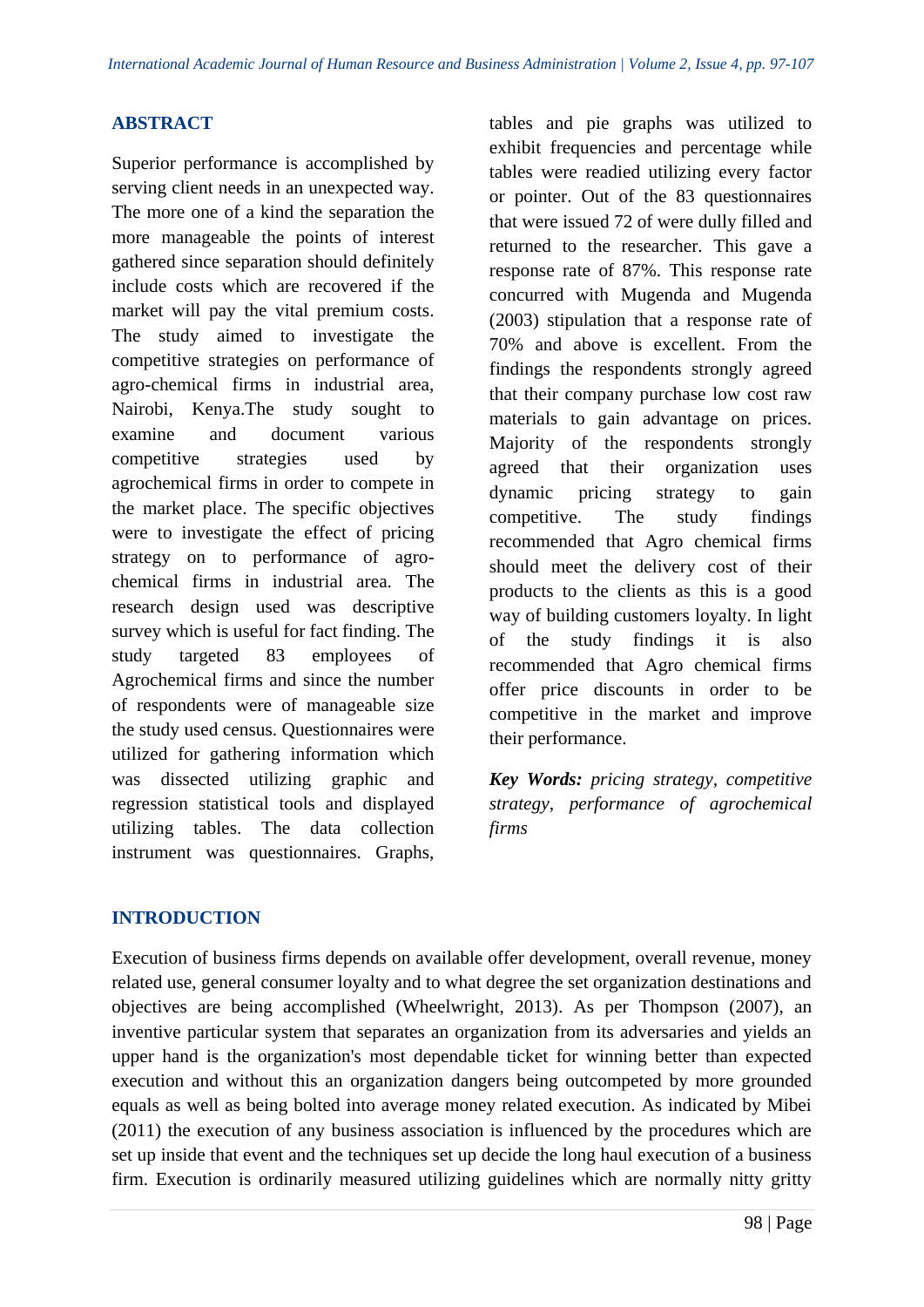## **ABSTRACT**

Superior performance is accomplished by serving client needs in an unexpected way. The more one of a kind the separation the more manageable the points of interest gathered since separation should definitely include costs which are recovered if the market will pay the vital premium costs. The study aimed to investigate the competitive strategies on performance of agro-chemical firms in industrial area, Nairobi, Kenya.The study sought to examine and document various competitive strategies used by agrochemical firms in order to compete in the market place. The specific objectives were to investigate the effect of pricing strategy on to performance of agrochemical firms in industrial area. The research design used was descriptive survey which is useful for fact finding. The study targeted 83 employees of Agrochemical firms and since the number of respondents were of manageable size the study used census. Questionnaires were utilized for gathering information which was dissected utilizing graphic and regression statistical tools and displayed utilizing tables. The data collection instrument was questionnaires. Graphs,

tables and pie graphs was utilized to exhibit frequencies and percentage while tables were readied utilizing every factor or pointer. Out of the 83 questionnaires that were issued 72 of were dully filled and returned to the researcher. This gave a response rate of 87%. This response rate concurred with Mugenda and Mugenda (2003) stipulation that a response rate of 70% and above is excellent. From the findings the respondents strongly agreed that their company purchase low cost raw materials to gain advantage on prices. Majority of the respondents strongly agreed that their organization uses dynamic pricing strategy to gain competitive. The study findings recommended that Agro chemical firms should meet the delivery cost of their products to the clients as this is a good way of building customers loyalty. In light of the study findings it is also recommended that Agro chemical firms offer price discounts in order to be competitive in the market and improve their performance.

*Key Words: pricing strategy, competitive strategy, performance of agrochemical firms*

# **INTRODUCTION**

Execution of business firms depends on available offer development, overall revenue, money related use, general consumer loyalty and to what degree the set organization destinations and objectives are being accomplished (Wheelwright, 2013). As per Thompson (2007), an inventive particular system that separates an organization from its adversaries and yields an upper hand is the organization's most dependable ticket for winning better than expected execution and without this an organization dangers being outcompeted by more grounded equals as well as being bolted into average money related execution. As indicated by Mibei (2011) the execution of any business association is influenced by the procedures which are set up inside that event and the techniques set up decide the long haul execution of a business firm. Execution is ordinarily measured utilizing guidelines which are normally nitty gritty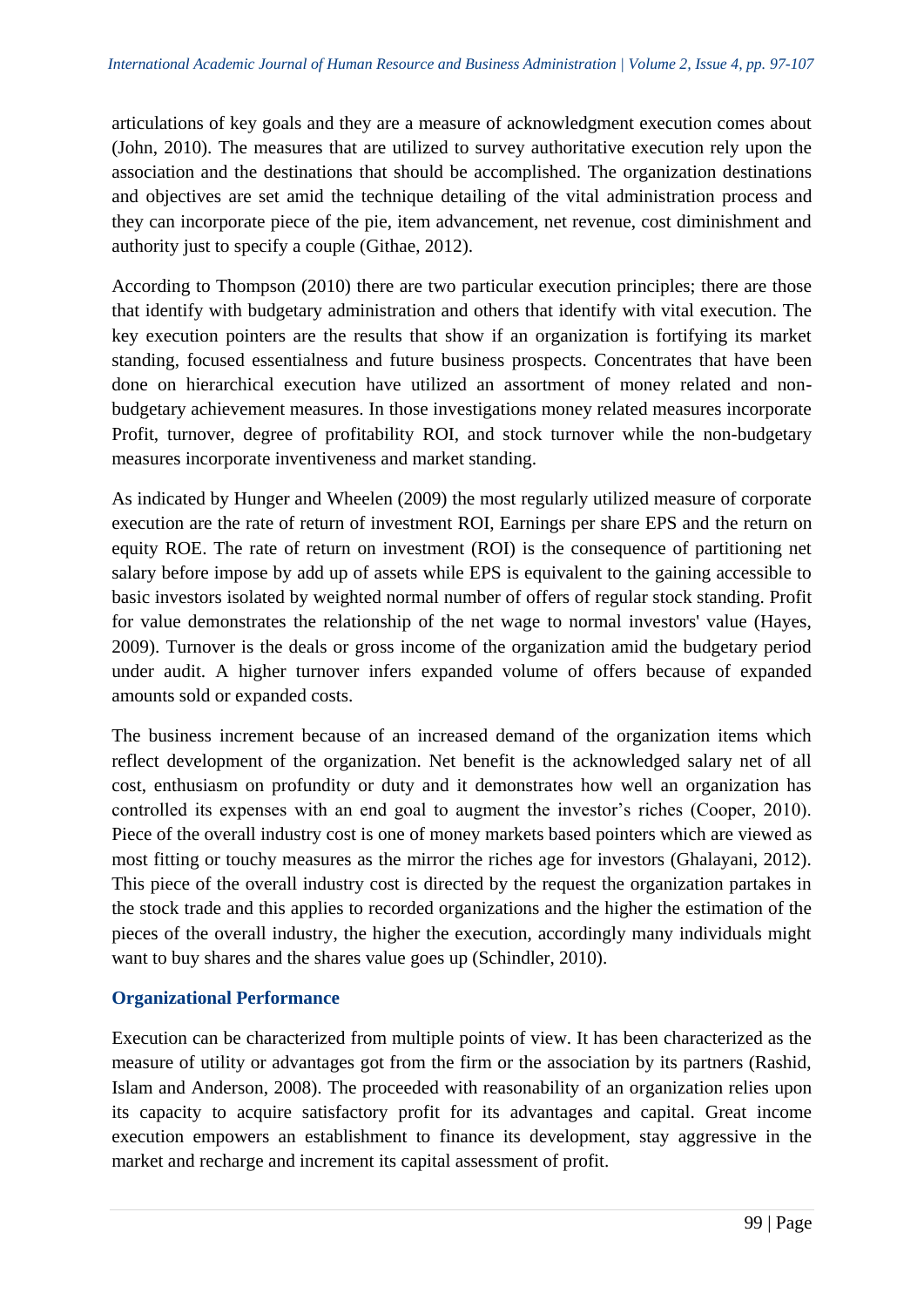articulations of key goals and they are a measure of acknowledgment execution comes about (John, 2010). The measures that are utilized to survey authoritative execution rely upon the association and the destinations that should be accomplished. The organization destinations and objectives are set amid the technique detailing of the vital administration process and they can incorporate piece of the pie, item advancement, net revenue, cost diminishment and authority just to specify a couple (Githae, 2012).

According to Thompson (2010) there are two particular execution principles; there are those that identify with budgetary administration and others that identify with vital execution. The key execution pointers are the results that show if an organization is fortifying its market standing, focused essentialness and future business prospects. Concentrates that have been done on hierarchical execution have utilized an assortment of money related and nonbudgetary achievement measures. In those investigations money related measures incorporate Profit, turnover, degree of profitability ROI, and stock turnover while the non-budgetary measures incorporate inventiveness and market standing.

As indicated by Hunger and Wheelen (2009) the most regularly utilized measure of corporate execution are the rate of return of investment ROI, Earnings per share EPS and the return on equity ROE. The rate of return on investment (ROI) is the consequence of partitioning net salary before impose by add up of assets while EPS is equivalent to the gaining accessible to basic investors isolated by weighted normal number of offers of regular stock standing. Profit for value demonstrates the relationship of the net wage to normal investors' value (Hayes, 2009). Turnover is the deals or gross income of the organization amid the budgetary period under audit. A higher turnover infers expanded volume of offers because of expanded amounts sold or expanded costs.

The business increment because of an increased demand of the organization items which reflect development of the organization. Net benefit is the acknowledged salary net of all cost, enthusiasm on profundity or duty and it demonstrates how well an organization has controlled its expenses with an end goal to augment the investor's riches (Cooper, 2010). Piece of the overall industry cost is one of money markets based pointers which are viewed as most fitting or touchy measures as the mirror the riches age for investors (Ghalayani, 2012). This piece of the overall industry cost is directed by the request the organization partakes in the stock trade and this applies to recorded organizations and the higher the estimation of the pieces of the overall industry, the higher the execution, accordingly many individuals might want to buy shares and the shares value goes up (Schindler, 2010).

# **Organizational Performance**

Execution can be characterized from multiple points of view. It has been characterized as the measure of utility or advantages got from the firm or the association by its partners (Rashid, Islam and Anderson, 2008). The proceeded with reasonability of an organization relies upon its capacity to acquire satisfactory profit for its advantages and capital. Great income execution empowers an establishment to finance its development, stay aggressive in the market and recharge and increment its capital assessment of profit.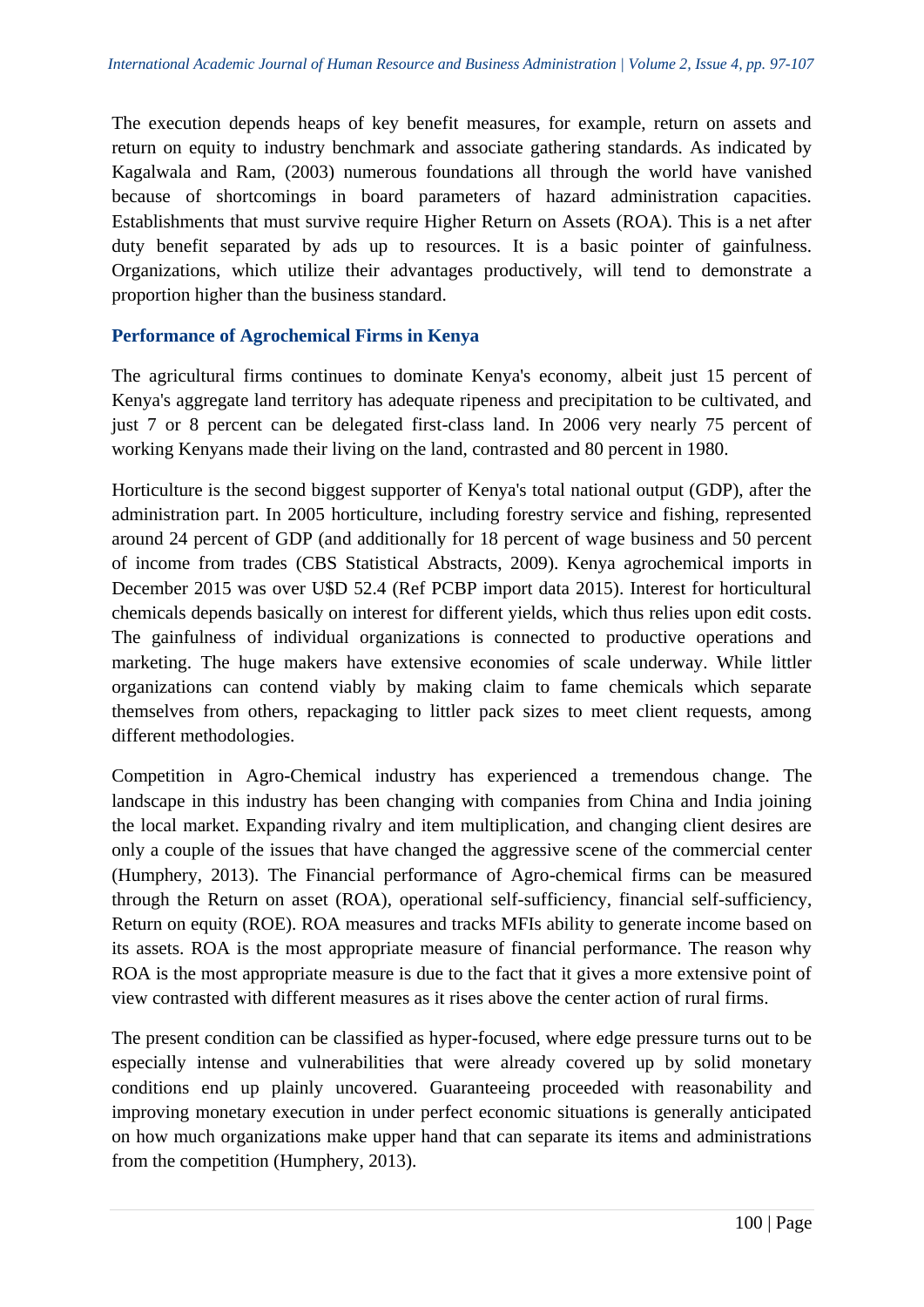The execution depends heaps of key benefit measures, for example, return on assets and return on equity to industry benchmark and associate gathering standards. As indicated by Kagalwala and Ram, (2003) numerous foundations all through the world have vanished because of shortcomings in board parameters of hazard administration capacities. Establishments that must survive require Higher Return on Assets (ROA). This is a net after duty benefit separated by ads up to resources. It is a basic pointer of gainfulness. Organizations, which utilize their advantages productively, will tend to demonstrate a proportion higher than the business standard.

## **Performance of Agrochemical Firms in Kenya**

The agricultural firms continues to dominate Kenya's economy, albeit just 15 percent of Kenya's aggregate land territory has adequate ripeness and precipitation to be cultivated, and just 7 or 8 percent can be delegated first-class land. In 2006 very nearly 75 percent of working Kenyans made their living on the land, contrasted and 80 percent in 1980.

Horticulture is the second biggest supporter of Kenya's total national output (GDP), after the administration part. In 2005 horticulture, including forestry service and fishing, represented around 24 percent of GDP (and additionally for 18 percent of wage business and 50 percent of income from trades (CBS Statistical Abstracts, 2009). Kenya agrochemical imports in December 2015 was over U\$D 52.4 (Ref PCBP import data 2015). Interest for horticultural chemicals depends basically on interest for different yields, which thus relies upon edit costs. The gainfulness of individual organizations is connected to productive operations and marketing. The huge makers have extensive economies of scale underway. While littler organizations can contend viably by making claim to fame chemicals which separate themselves from others, repackaging to littler pack sizes to meet client requests, among different methodologies.

Competition in Agro-Chemical industry has experienced a tremendous change. The landscape in this industry has been changing with companies from China and India joining the local market. Expanding rivalry and item multiplication, and changing client desires are only a couple of the issues that have changed the aggressive scene of the commercial center (Humphery, 2013). The Financial performance of Agro-chemical firms can be measured through the Return on asset (ROA), operational self-sufficiency, financial self-sufficiency, Return on equity (ROE). ROA measures and tracks MFIs ability to generate income based on its assets. ROA is the most appropriate measure of financial performance. The reason why ROA is the most appropriate measure is due to the fact that it gives a more extensive point of view contrasted with different measures as it rises above the center action of rural firms.

The present condition can be classified as hyper-focused, where edge pressure turns out to be especially intense and vulnerabilities that were already covered up by solid monetary conditions end up plainly uncovered. Guaranteeing proceeded with reasonability and improving monetary execution in under perfect economic situations is generally anticipated on how much organizations make upper hand that can separate its items and administrations from the competition (Humphery, 2013).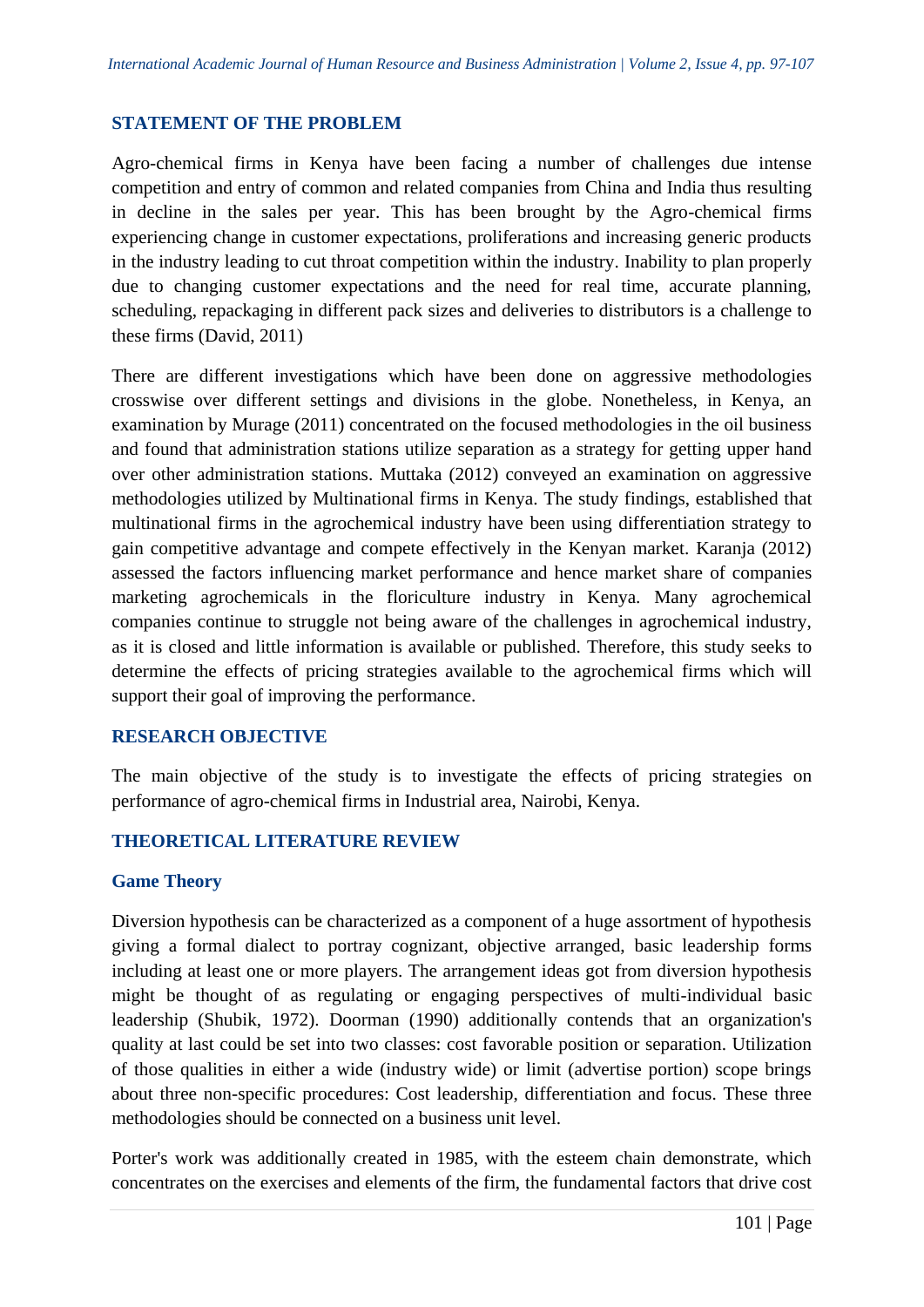# **STATEMENT OF THE PROBLEM**

Agro-chemical firms in Kenya have been facing a number of challenges due intense competition and entry of common and related companies from China and India thus resulting in decline in the sales per year. This has been brought by the Agro-chemical firms experiencing change in customer expectations, proliferations and increasing generic products in the industry leading to cut throat competition within the industry. Inability to plan properly due to changing customer expectations and the need for real time, accurate planning, scheduling, repackaging in different pack sizes and deliveries to distributors is a challenge to these firms (David, 2011)

There are different investigations which have been done on aggressive methodologies crosswise over different settings and divisions in the globe. Nonetheless, in Kenya, an examination by Murage (2011) concentrated on the focused methodologies in the oil business and found that administration stations utilize separation as a strategy for getting upper hand over other administration stations. Muttaka (2012) conveyed an examination on aggressive methodologies utilized by Multinational firms in Kenya. The study findings, established that multinational firms in the agrochemical industry have been using differentiation strategy to gain competitive advantage and compete effectively in the Kenyan market. Karanja (2012) assessed the factors influencing market performance and hence market share of companies marketing agrochemicals in the floriculture industry in Kenya. Many agrochemical companies continue to struggle not being aware of the challenges in agrochemical industry, as it is closed and little information is available or published. Therefore, this study seeks to determine the effects of pricing strategies available to the agrochemical firms which will support their goal of improving the performance.

## **RESEARCH OBJECTIVE**

The main objective of the study is to investigate the effects of pricing strategies on performance of agro-chemical firms in Industrial area, Nairobi, Kenya.

# **THEORETICAL LITERATURE REVIEW**

## **Game Theory**

Diversion hypothesis can be characterized as a component of a huge assortment of hypothesis giving a formal dialect to portray cognizant, objective arranged, basic leadership forms including at least one or more players. The arrangement ideas got from diversion hypothesis might be thought of as regulating or engaging perspectives of multi-individual basic leadership (Shubik, 1972). Doorman (1990) additionally contends that an organization's quality at last could be set into two classes: cost favorable position or separation. Utilization of those qualities in either a wide (industry wide) or limit (advertise portion) scope brings about three non-specific procedures: Cost leadership, differentiation and focus. These three methodologies should be connected on a business unit level.

Porter's work was additionally created in 1985, with the esteem chain demonstrate, which concentrates on the exercises and elements of the firm, the fundamental factors that drive cost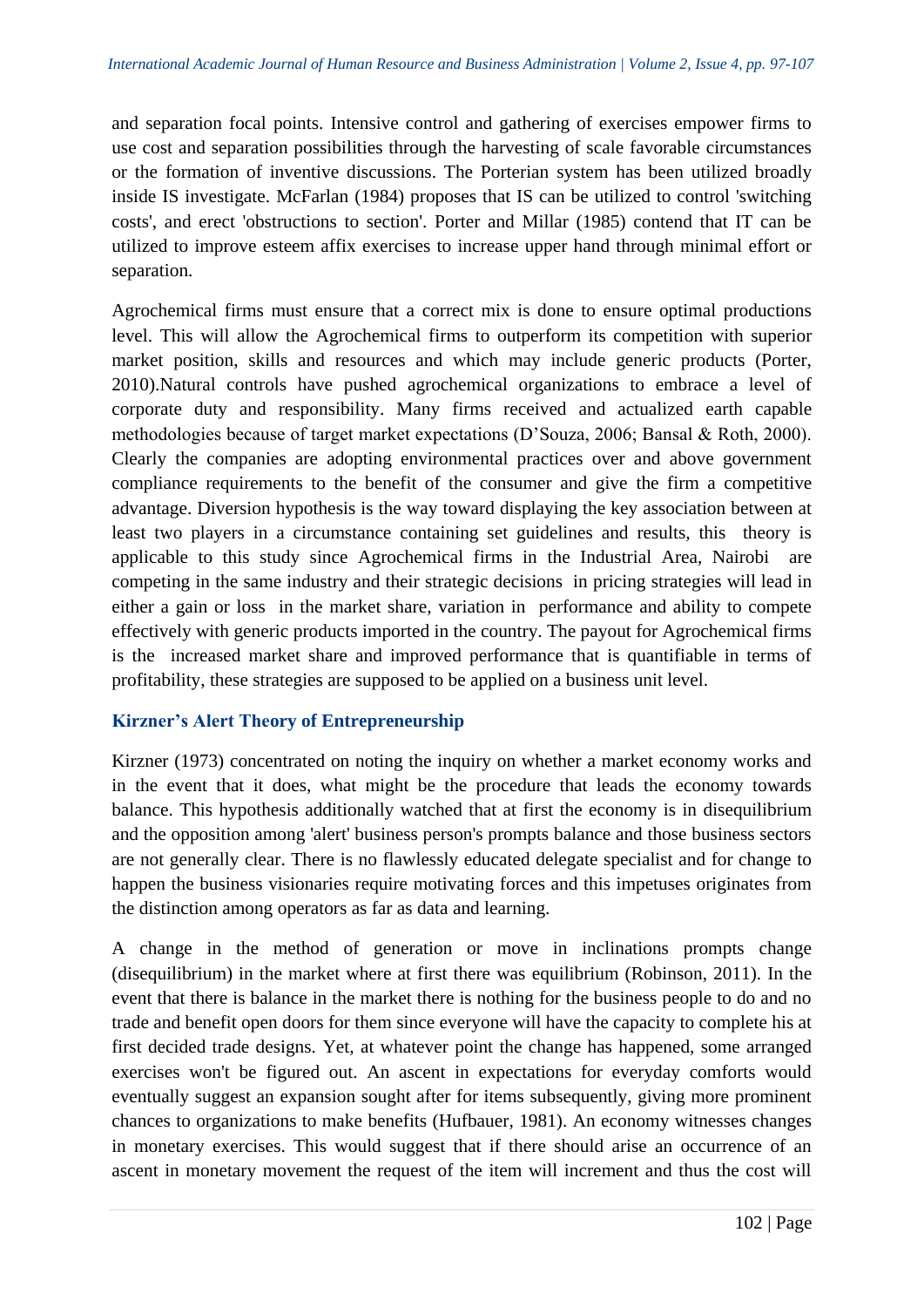and separation focal points. Intensive control and gathering of exercises empower firms to use cost and separation possibilities through the harvesting of scale favorable circumstances or the formation of inventive discussions. The Porterian system has been utilized broadly inside IS investigate. McFarlan (1984) proposes that IS can be utilized to control 'switching costs', and erect 'obstructions to section'. Porter and Millar (1985) contend that IT can be utilized to improve esteem affix exercises to increase upper hand through minimal effort or separation.

Agrochemical firms must ensure that a correct mix is done to ensure optimal productions level. This will allow the Agrochemical firms to outperform its competition with superior market position, skills and resources and which may include generic products (Porter, 2010).Natural controls have pushed agrochemical organizations to embrace a level of corporate duty and responsibility. Many firms received and actualized earth capable methodologies because of target market expectations (D'Souza, 2006; Bansal & Roth, 2000). Clearly the companies are adopting environmental practices over and above government compliance requirements to the benefit of the consumer and give the firm a competitive advantage. Diversion hypothesis is the way toward displaying the key association between at least two players in a circumstance containing set guidelines and results, this theory is applicable to this study since Agrochemical firms in the Industrial Area, Nairobi are competing in the same industry and their strategic decisions in pricing strategies will lead in either a gain or loss in the market share, variation in performance and ability to compete effectively with generic products imported in the country. The payout for Agrochemical firms is the increased market share and improved performance that is quantifiable in terms of profitability, these strategies are supposed to be applied on a business unit level.

# **Kirzner's Alert Theory of Entrepreneurship**

Kirzner (1973) concentrated on noting the inquiry on whether a market economy works and in the event that it does, what might be the procedure that leads the economy towards balance. This hypothesis additionally watched that at first the economy is in disequilibrium and the opposition among 'alert' business person's prompts balance and those business sectors are not generally clear. There is no flawlessly educated delegate specialist and for change to happen the business visionaries require motivating forces and this impetuses originates from the distinction among operators as far as data and learning.

A change in the method of generation or move in inclinations prompts change (disequilibrium) in the market where at first there was equilibrium (Robinson, 2011). In the event that there is balance in the market there is nothing for the business people to do and no trade and benefit open doors for them since everyone will have the capacity to complete his at first decided trade designs. Yet, at whatever point the change has happened, some arranged exercises won't be figured out. An ascent in expectations for everyday comforts would eventually suggest an expansion sought after for items subsequently, giving more prominent chances to organizations to make benefits (Hufbauer, 1981). An economy witnesses changes in monetary exercises. This would suggest that if there should arise an occurrence of an ascent in monetary movement the request of the item will increment and thus the cost will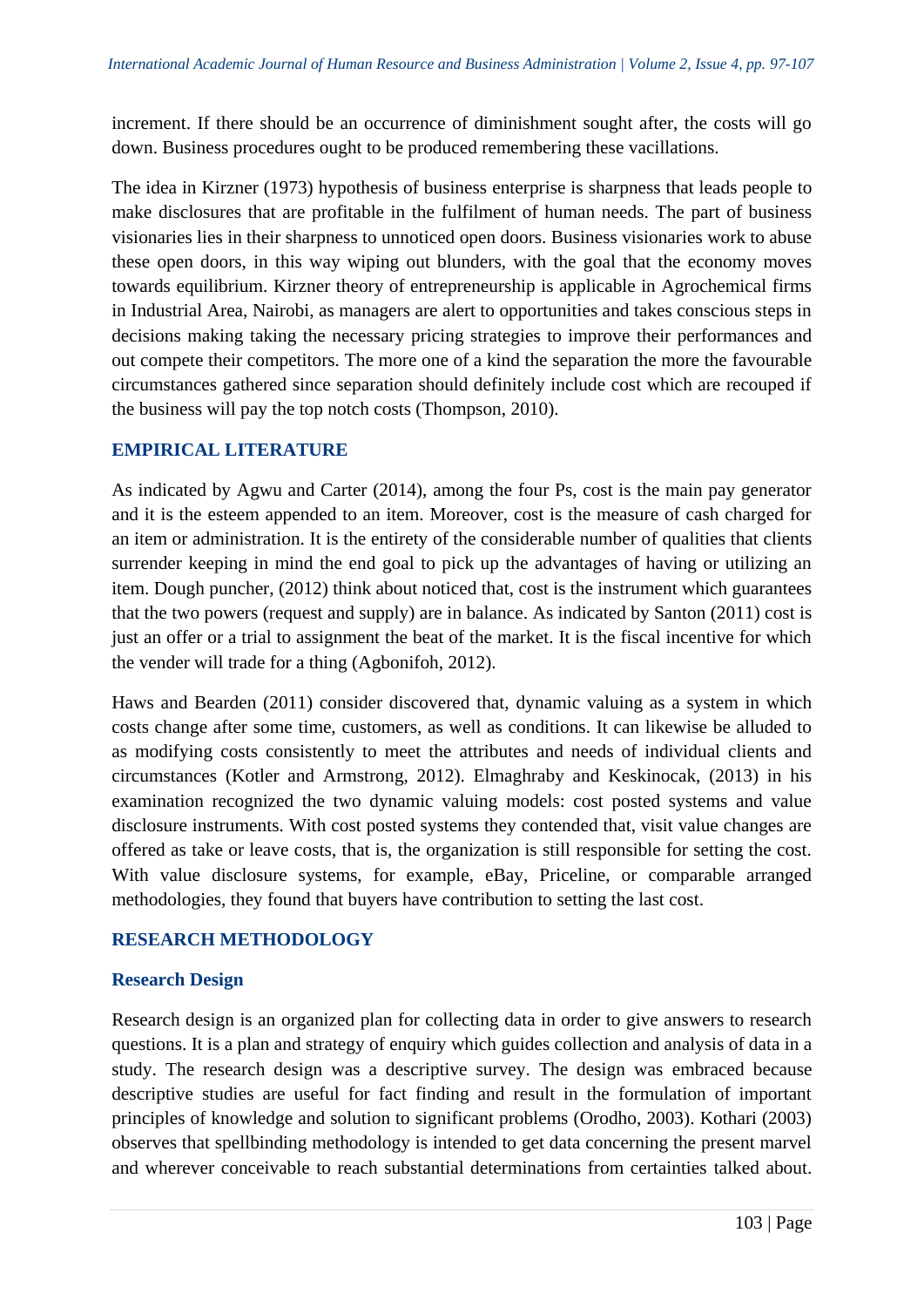increment. If there should be an occurrence of diminishment sought after, the costs will go down. Business procedures ought to be produced remembering these vacillations.

The idea in Kirzner (1973) hypothesis of business enterprise is sharpness that leads people to make disclosures that are profitable in the fulfilment of human needs. The part of business visionaries lies in their sharpness to unnoticed open doors. Business visionaries work to abuse these open doors, in this way wiping out blunders, with the goal that the economy moves towards equilibrium. Kirzner theory of entrepreneurship is applicable in Agrochemical firms in Industrial Area, Nairobi, as managers are alert to opportunities and takes conscious steps in decisions making taking the necessary pricing strategies to improve their performances and out compete their competitors. The more one of a kind the separation the more the favourable circumstances gathered since separation should definitely include cost which are recouped if the business will pay the top notch costs (Thompson, 2010).

# **EMPIRICAL LITERATURE**

As indicated by Agwu and Carter (2014), among the four Ps, cost is the main pay generator and it is the esteem appended to an item. Moreover, cost is the measure of cash charged for an item or administration. It is the entirety of the considerable number of qualities that clients surrender keeping in mind the end goal to pick up the advantages of having or utilizing an item. Dough puncher, (2012) think about noticed that, cost is the instrument which guarantees that the two powers (request and supply) are in balance. As indicated by Santon (2011) cost is just an offer or a trial to assignment the beat of the market. It is the fiscal incentive for which the vender will trade for a thing (Agbonifoh, 2012).

Haws and Bearden (2011) consider discovered that, dynamic valuing as a system in which costs change after some time, customers, as well as conditions. It can likewise be alluded to as modifying costs consistently to meet the attributes and needs of individual clients and circumstances (Kotler and Armstrong, 2012). Elmaghraby and Keskinocak, (2013) in his examination recognized the two dynamic valuing models: cost posted systems and value disclosure instruments. With cost posted systems they contended that, visit value changes are offered as take or leave costs, that is, the organization is still responsible for setting the cost. With value disclosure systems, for example, eBay, Priceline, or comparable arranged methodologies, they found that buyers have contribution to setting the last cost.

# **RESEARCH METHODOLOGY**

# **Research Design**

Research design is an organized plan for collecting data in order to give answers to research questions. It is a plan and strategy of enquiry which guides collection and analysis of data in a study. The research design was a descriptive survey. The design was embraced because descriptive studies are useful for fact finding and result in the formulation of important principles of knowledge and solution to significant problems (Orodho, 2003). Kothari (2003) observes that spellbinding methodology is intended to get data concerning the present marvel and wherever conceivable to reach substantial determinations from certainties talked about.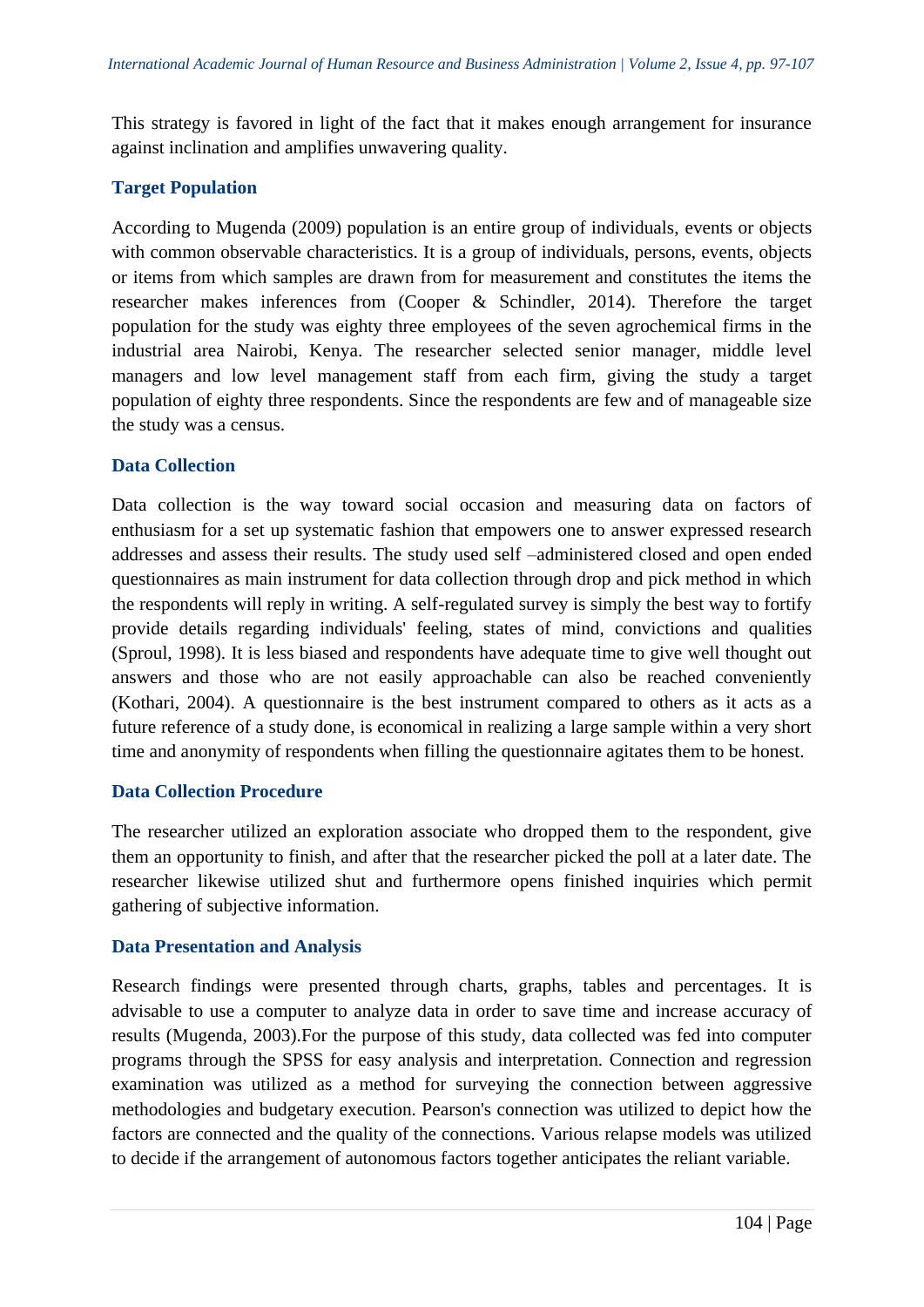This strategy is favored in light of the fact that it makes enough arrangement for insurance against inclination and amplifies unwavering quality.

## **Target Population**

According to Mugenda (2009) population is an entire group of individuals, events or objects with common observable characteristics. It is a group of individuals, persons, events, objects or items from which samples are drawn from for measurement and constitutes the items the researcher makes inferences from (Cooper & Schindler, 2014). Therefore the target population for the study was eighty three employees of the seven agrochemical firms in the industrial area Nairobi, Kenya. The researcher selected senior manager, middle level managers and low level management staff from each firm, giving the study a target population of eighty three respondents. Since the respondents are few and of manageable size the study was a census.

## **Data Collection**

Data collection is the way toward social occasion and measuring data on factors of enthusiasm for a set up systematic fashion that empowers one to answer expressed research addresses and assess their results. The study used self –administered closed and open ended questionnaires as main instrument for data collection through drop and pick method in which the respondents will reply in writing. A self-regulated survey is simply the best way to fortify provide details regarding individuals' feeling, states of mind, convictions and qualities (Sproul, 1998). It is less biased and respondents have adequate time to give well thought out answers and those who are not easily approachable can also be reached conveniently (Kothari, 2004). A questionnaire is the best instrument compared to others as it acts as a future reference of a study done, is economical in realizing a large sample within a very short time and anonymity of respondents when filling the questionnaire agitates them to be honest.

## **Data Collection Procedure**

The researcher utilized an exploration associate who dropped them to the respondent, give them an opportunity to finish, and after that the researcher picked the poll at a later date. The researcher likewise utilized shut and furthermore opens finished inquiries which permit gathering of subjective information.

## **Data Presentation and Analysis**

Research findings were presented through charts, graphs, tables and percentages. It is advisable to use a computer to analyze data in order to save time and increase accuracy of results (Mugenda, 2003).For the purpose of this study, data collected was fed into computer programs through the SPSS for easy analysis and interpretation. Connection and regression examination was utilized as a method for surveying the connection between aggressive methodologies and budgetary execution. Pearson's connection was utilized to depict how the factors are connected and the quality of the connections. Various relapse models was utilized to decide if the arrangement of autonomous factors together anticipates the reliant variable.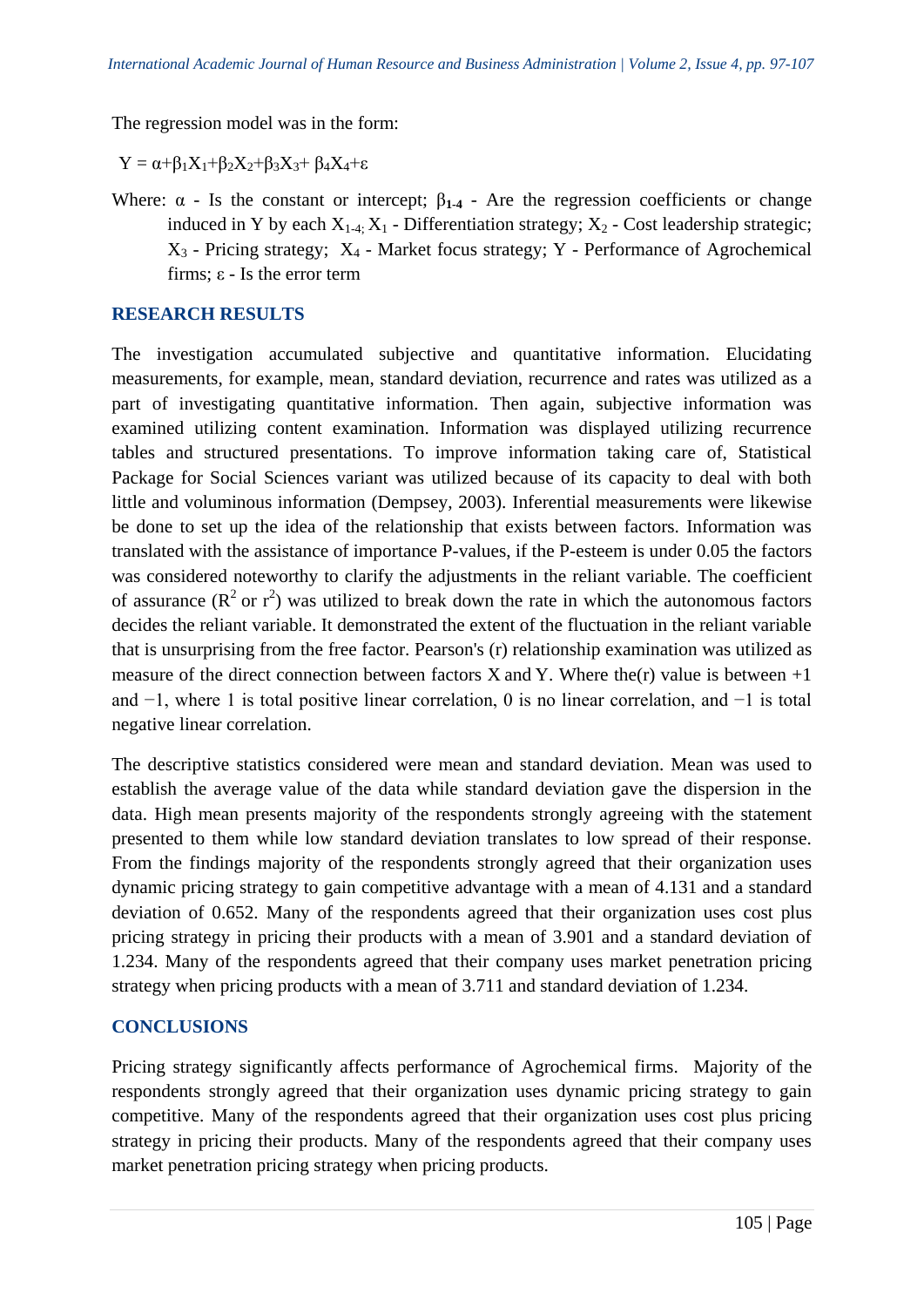The regression model was in the form:

 $Y = \alpha + \beta_1 X_1 + \beta_2 X_2 + \beta_3 X_3 + \beta_4 X_4 + \varepsilon$ 

Where:  $\alpha$  - Is the constant or intercept;  $\beta_{1-4}$  - Are the regression coefficients or change induced in Y by each  $X_{1-4}$ ;  $X_1$  - Differentiation strategy;  $X_2$  - Cost leadership strategic;  $X_3$  - Pricing strategy;  $X_4$  - Market focus strategy; Y - Performance of Agrochemical firms; ε - Is the error term

## **RESEARCH RESULTS**

The investigation accumulated subjective and quantitative information. Elucidating measurements, for example, mean, standard deviation, recurrence and rates was utilized as a part of investigating quantitative information. Then again, subjective information was examined utilizing content examination. Information was displayed utilizing recurrence tables and structured presentations. To improve information taking care of, Statistical Package for Social Sciences variant was utilized because of its capacity to deal with both little and voluminous information (Dempsey, 2003). Inferential measurements were likewise be done to set up the idea of the relationship that exists between factors. Information was translated with the assistance of importance P-values, if the P-esteem is under 0.05 the factors was considered noteworthy to clarify the adjustments in the reliant variable. The coefficient of assurance  $(R^2$  or  $r^2)$  was utilized to break down the rate in which the autonomous factors decides the reliant variable. It demonstrated the extent of the fluctuation in the reliant variable that is unsurprising from the free factor. Pearson's (r) relationship examination was utilized as measure of the direct connection between factors X and Y. Where the(r) value is between  $+1$ and −1, where 1 is total positive linear correlation, 0 is no linear correlation, and −1 is total negative linear correlation.

The descriptive statistics considered were mean and standard deviation. Mean was used to establish the average value of the data while standard deviation gave the dispersion in the data. High mean presents majority of the respondents strongly agreeing with the statement presented to them while low standard deviation translates to low spread of their response. From the findings majority of the respondents strongly agreed that their organization uses dynamic pricing strategy to gain competitive advantage with a mean of 4.131 and a standard deviation of 0.652. Many of the respondents agreed that their organization uses cost plus pricing strategy in pricing their products with a mean of 3.901 and a standard deviation of 1.234. Many of the respondents agreed that their company uses market penetration pricing strategy when pricing products with a mean of 3.711 and standard deviation of 1.234.

# **CONCLUSIONS**

Pricing strategy significantly affects performance of Agrochemical firms. Majority of the respondents strongly agreed that their organization uses dynamic pricing strategy to gain competitive. Many of the respondents agreed that their organization uses cost plus pricing strategy in pricing their products. Many of the respondents agreed that their company uses market penetration pricing strategy when pricing products.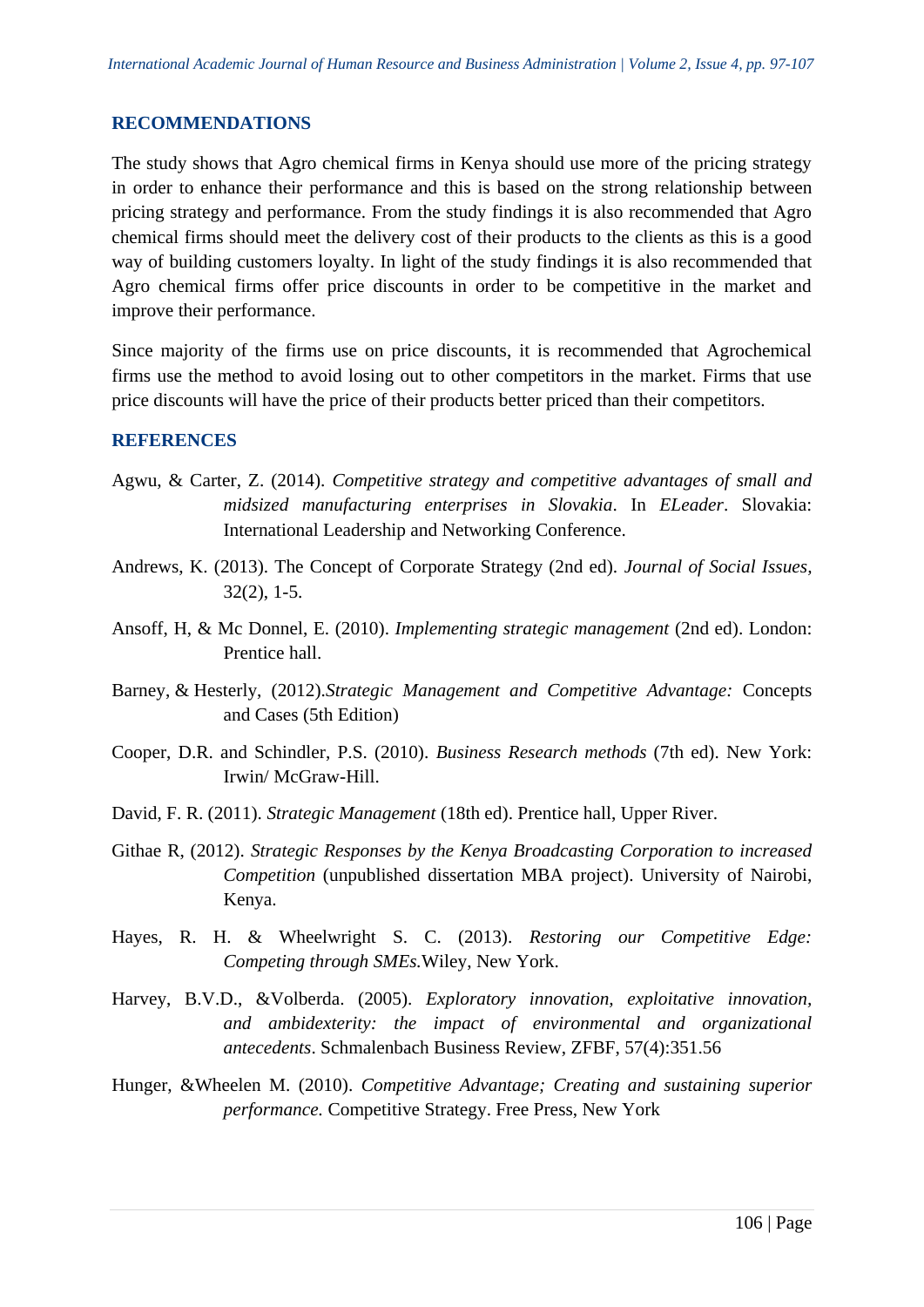## **RECOMMENDATIONS**

The study shows that Agro chemical firms in Kenya should use more of the pricing strategy in order to enhance their performance and this is based on the strong relationship between pricing strategy and performance. From the study findings it is also recommended that Agro chemical firms should meet the delivery cost of their products to the clients as this is a good way of building customers loyalty. In light of the study findings it is also recommended that Agro chemical firms offer price discounts in order to be competitive in the market and improve their performance.

Since majority of the firms use on price discounts, it is recommended that Agrochemical firms use the method to avoid losing out to other competitors in the market. Firms that use price discounts will have the price of their products better priced than their competitors.

#### **REFERENCES**

- Agwu, & Carter, Z. (2014). *Competitive strategy and competitive advantages of small and midsized manufacturing enterprises in Slovakia*. In *ELeader*. Slovakia: International Leadership and Networking Conference.
- Andrews, K. (2013). The Concept of Corporate Strategy (2nd ed). *Journal of Social Issues,* 32(2), 1-5.
- Ansoff, H, & Mc Donnel, E. (2010). *Implementing strategic management* (2nd ed). London: Prentice hall.
- Barney, & Hesterly, (2012).*Strategic Management and Competitive Advantage:* Concepts and Cases (5th Edition)
- Cooper, D.R. and Schindler, P.S. (2010). *Business Research methods* (7th ed). New York: Irwin/ McGraw-Hill.
- David, F. R. (2011). *Strategic Management* (18th ed). Prentice hall, Upper River.
- Githae R, (2012). *Strategic Responses by the Kenya Broadcasting Corporation to increased Competition* (unpublished dissertation MBA project). University of Nairobi, Kenya.
- Hayes, R. H. & Wheelwright S. C. (2013). *Restoring our Competitive Edge: Competing through SMEs.*Wiley, New York.
- Harvey, B.V.D., &Volberda. (2005). *Exploratory innovation, exploitative innovation, and ambidexterity: the impact of environmental and organizational antecedents*. Schmalenbach Business Review, ZFBF, 57(4):351.56
- Hunger, &Wheelen M. (2010). *Competitive Advantage; Creating and sustaining superior performance.* Competitive Strategy. Free Press, New York